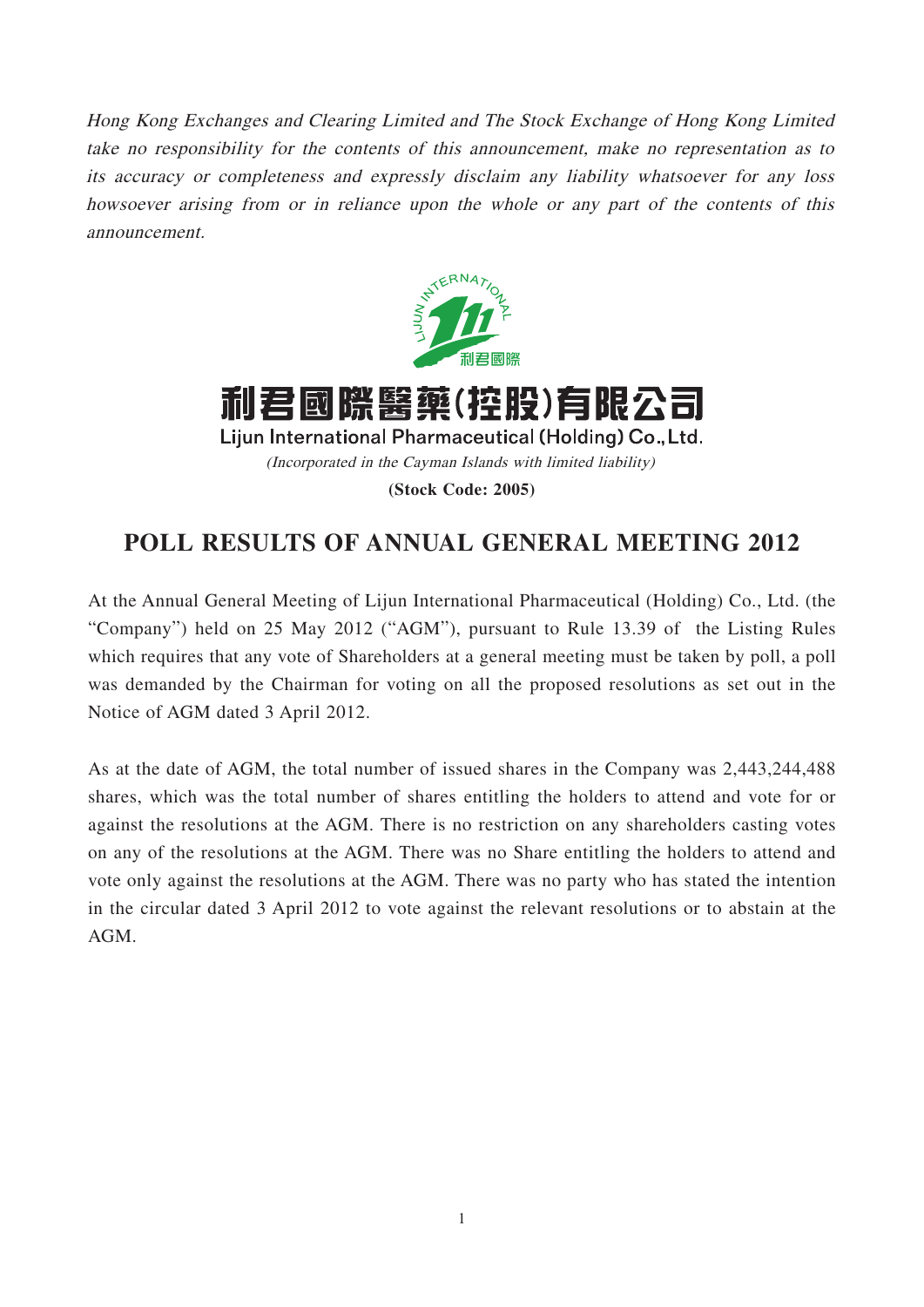Hong Kong Exchanges and Clearing Limited and The Stock Exchange of Hong Kong Limited take no responsibility for the contents of this announcement, make no representation as to its accuracy or completeness and expressly disclaim any liability whatsoever for any loss howsoever arising from or in reliance upon the whole or any part of the contents of this announcement.



利君國際醫藥(控股)有限公司 Lijun International Pharmaceutical (Holding) Co., Ltd. (Incorporated in the Cayman Islands with limited liability) **(Stock Code: 2005)**

## **POLL RESULTS OF ANNUAL GENERAL MEETING 2012**

At the Annual General Meeting of Lijun International Pharmaceutical (Holding) Co., Ltd. (the "Company") held on 25 May 2012 ("AGM"), pursuant to Rule 13.39 of the Listing Rules which requires that any vote of Shareholders at a general meeting must be taken by poll, a poll was demanded by the Chairman for voting on all the proposed resolutions as set out in the Notice of AGM dated 3 April 2012.

As at the date of AGM, the total number of issued shares in the Company was 2,443,244,488 shares, which was the total number of shares entitling the holders to attend and vote for or against the resolutions at the AGM. There is no restriction on any shareholders casting votes on any of the resolutions at the AGM. There was no Share entitling the holders to attend and vote only against the resolutions at the AGM. There was no party who has stated the intention in the circular dated 3 April 2012 to vote against the relevant resolutions or to abstain at the AGM.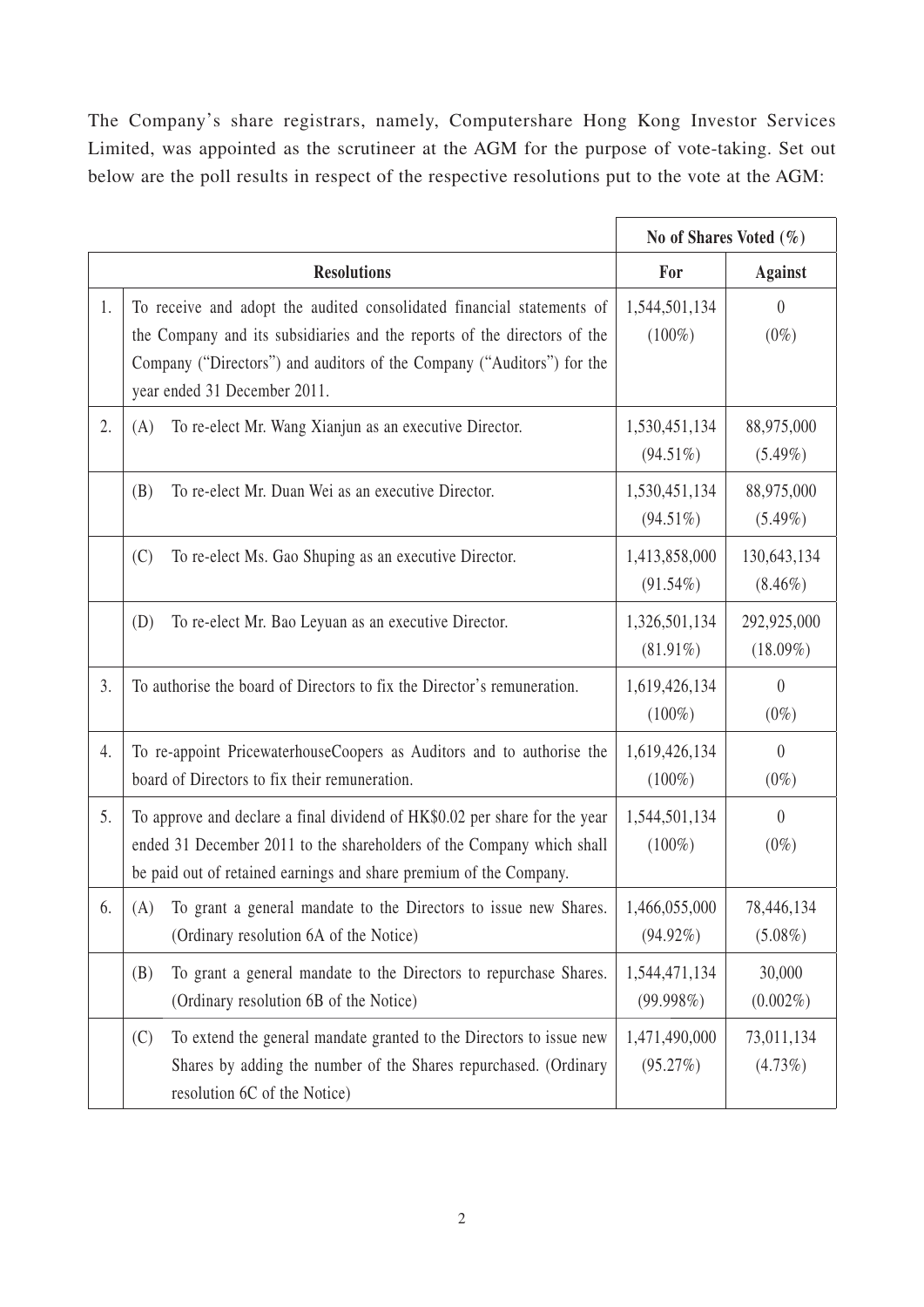The Company's share registrars, namely, Computershare Hong Kong Investor Services Limited, was appointed as the scrutineer at the AGM for the purpose of vote-taking. Set out below are the poll results in respect of the respective resolutions put to the vote at the AGM:

|    |                                                                                                                                                                                                                                                             | No of Shares Voted $(\%)$    |                            |
|----|-------------------------------------------------------------------------------------------------------------------------------------------------------------------------------------------------------------------------------------------------------------|------------------------------|----------------------------|
|    | <b>Resolutions</b>                                                                                                                                                                                                                                          | For                          | <b>Against</b>             |
| 1. | To receive and adopt the audited consolidated financial statements of<br>the Company and its subsidiaries and the reports of the directors of the<br>Company ("Directors") and auditors of the Company ("Auditors") for the<br>year ended 31 December 2011. | 1,544,501,134<br>$(100\%)$   | $\theta$<br>$(0\%)$        |
| 2. | To re-elect Mr. Wang Xianjun as an executive Director.<br>(A)                                                                                                                                                                                               | 1,530,451,134<br>$(94.51\%)$ | 88,975,000<br>$(5.49\%)$   |
|    | (B)<br>To re-elect Mr. Duan Wei as an executive Director.                                                                                                                                                                                                   | 1,530,451,134<br>$(94.51\%)$ | 88,975,000<br>$(5.49\%)$   |
|    | (C)<br>To re-elect Ms. Gao Shuping as an executive Director.                                                                                                                                                                                                | 1,413,858,000<br>$(91.54\%)$ | 130,643,134<br>$(8.46\%)$  |
|    | To re-elect Mr. Bao Leyuan as an executive Director.<br>(D)                                                                                                                                                                                                 | 1,326,501,134<br>$(81.91\%)$ | 292,925,000<br>$(18.09\%)$ |
| 3. | To authorise the board of Directors to fix the Director's remuneration.                                                                                                                                                                                     | 1,619,426,134<br>$(100\%)$   | $\theta$<br>$(0\%)$        |
| 4. | To re-appoint PricewaterhouseCoopers as Auditors and to authorise the<br>board of Directors to fix their remuneration.                                                                                                                                      | 1,619,426,134<br>$(100\%)$   | $\theta$<br>$(0\%)$        |
| 5. | To approve and declare a final dividend of HK\$0.02 per share for the year<br>ended 31 December 2011 to the shareholders of the Company which shall<br>be paid out of retained earnings and share premium of the Company.                                   | 1,544,501,134<br>$(100\%)$   | $\overline{0}$<br>$(0\%)$  |
| 6. | To grant a general mandate to the Directors to issue new Shares.<br>(A)<br>(Ordinary resolution 6A of the Notice)                                                                                                                                           | 1,466,055,000<br>$(94.92\%)$ | 78,446,134<br>$(5.08\%)$   |
|    | To grant a general mandate to the Directors to repurchase Shares.<br>(B)<br>(Ordinary resolution 6B of the Notice)                                                                                                                                          | 1,544,471,134<br>(99.998%)   | 30,000<br>$(0.002\%)$      |
|    | To extend the general mandate granted to the Directors to issue new<br>(C)<br>Shares by adding the number of the Shares repurchased. (Ordinary<br>resolution 6C of the Notice)                                                                              | 1,471,490,000<br>(95.27%)    | 73,011,134<br>(4.73%)      |